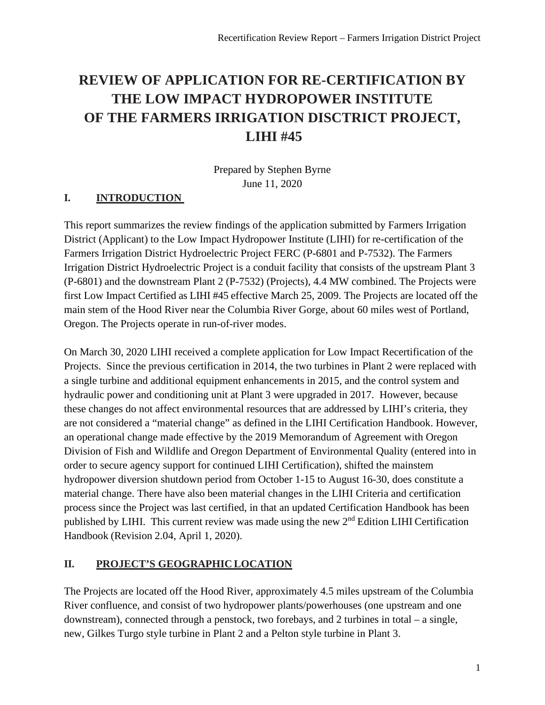# **REVIEW OF APPLICATION FOR RE-CERTIFICATION BY THE LOW IMPACT HYDROPOWER INSTITUTE OF THE FARMERS IRRIGATION DISCTRICT PROJECT, LIHI #45**

Prepared by Stephen Byrne June 11, 2020

# **I. INTRODUCTION**

This report summarizes the review findings of the application submitted by Farmers Irrigation District (Applicant) to the Low Impact Hydropower Institute (LIHI) for re-certification of the Farmers Irrigation District Hydroelectric Project FERC (P-6801 and P-7532). The Farmers Irrigation District Hydroelectric Project is a conduit facility that consists of the upstream Plant 3 (P-6801) and the downstream Plant 2 (P-7532) (Projects), 4.4 MW combined. The Projects were first Low Impact Certified as LIHI #45 effective March 25, 2009. The Projects are located off the main stem of the Hood River near the Columbia River Gorge, about 60 miles west of Portland, Oregon. The Projects operate in run-of-river modes.

On March 30, 2020 LIHI received a complete application for Low Impact Recertification of the Projects. Since the previous certification in 2014, the two turbines in Plant 2 were replaced with a single turbine and additional equipment enhancements in 2015, and the control system and hydraulic power and conditioning unit at Plant 3 were upgraded in 2017. However, because these changes do not affect environmental resources that are addressed by LIHI's criteria, they are not considered a "material change" as defined in the LIHI Certification Handbook. However, an operational change made effective by the 2019 Memorandum of Agreement with Oregon Division of Fish and Wildlife and Oregon Department of Environmental Quality (entered into in order to secure agency support for continued LIHI Certification), shifted the mainstem hydropower diversion shutdown period from October 1-15 to August 16-30, does constitute a material change. There have also been material changes in the LIHI Criteria and certification process since the Project was last certified, in that an updated Certification Handbook has been published by LIHI. This current review was made using the new 2nd Edition LIHI Certification Handbook (Revision 2.04, April 1, 2020).

# **II. PROJECT'S GEOGRAPHIC LOCATION**

The Projects are located off the Hood River, approximately 4.5 miles upstream of the Columbia River confluence, and consist of two hydropower plants/powerhouses (one upstream and one downstream), connected through a penstock, two forebays, and 2 turbines in total – a single, new, Gilkes Turgo style turbine in Plant 2 and a Pelton style turbine in Plant 3.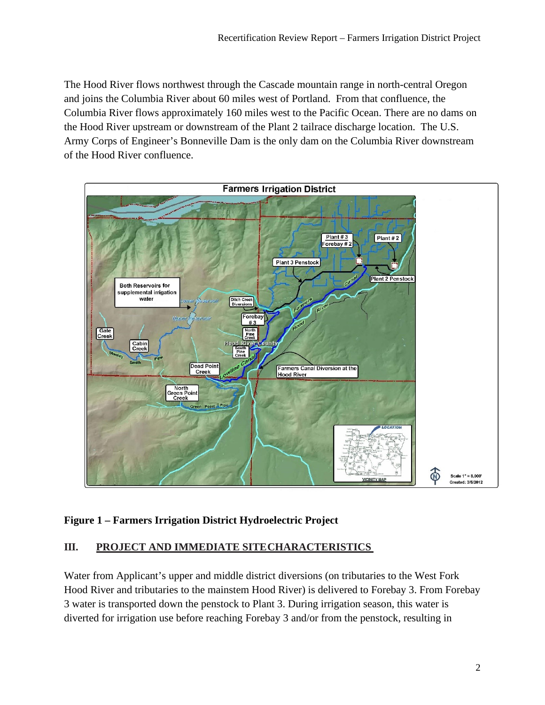The Hood River flows northwest through the Cascade mountain range in north-central Oregon and joins the Columbia River about 60 miles west of Portland. From that confluence, the Columbia River flows approximately 160 miles west to the Pacific Ocean. There are no dams on the Hood River upstream or downstream of the Plant 2 tailrace discharge location. The U.S. Army Corps of Engineer's Bonneville Dam is the only dam on the Columbia River downstream of the Hood River confluence.



# **Figure 1 – Farmers Irrigation District Hydroelectric Project**

### **III. PROJECT AND IMMEDIATE SITECHARACTERISTICS**

Water from Applicant's upper and middle district diversions (on tributaries to the West Fork Hood River and tributaries to the mainstem Hood River) is delivered to Forebay 3. From Forebay 3 water is transported down the penstock to Plant 3. During irrigation season, this water is diverted for irrigation use before reaching Forebay 3 and/or from the penstock, resulting in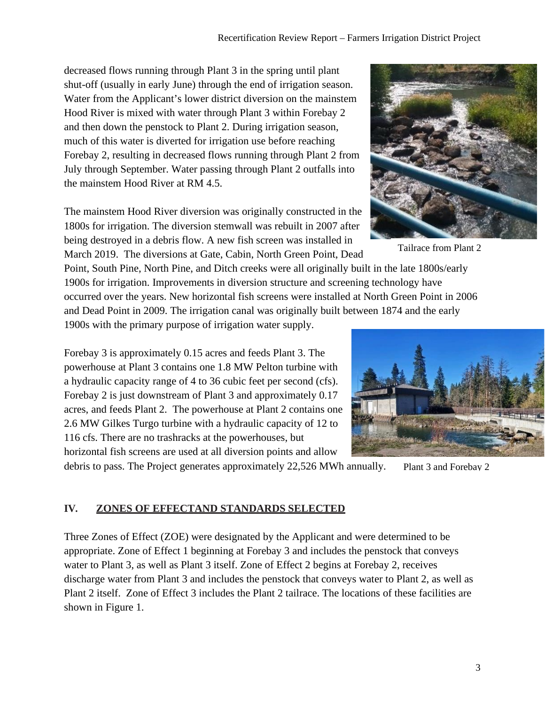decreased flows running through Plant 3 in the spring until plant shut-off (usually in early June) through the end of irrigation season. Water from the Applicant's lower district diversion on the mainstem Hood River is mixed with water through Plant 3 within Forebay 2 and then down the penstock to Plant 2. During irrigation season, much of this water is diverted for irrigation use before reaching Forebay 2, resulting in decreased flows running through Plant 2 from July through September. Water passing through Plant 2 outfalls into the mainstem Hood River at RM 4.5.

The mainstem Hood River diversion was originally constructed in the 1800s for irrigation. The diversion stemwall was rebuilt in 2007 after being destroyed in a debris flow. A new fish screen was installed in March 2019. The diversions at Gate, Cabin, North Green Point, Dead

Point, South Pine, North Pine, and Ditch creeks were all originally built in the late 1800s/early 1900s for irrigation. Improvements in diversion structure and screening technology have occurred over the years. New horizontal fish screens were installed at North Green Point in 2006 and Dead Point in 2009. The irrigation canal was originally built between 1874 and the early 1900s with the primary purpose of irrigation water supply.

Forebay 3 is approximately 0.15 acres and feeds Plant 3. The powerhouse at Plant 3 contains one 1.8 MW Pelton turbine with a hydraulic capacity range of 4 to 36 cubic feet per second (cfs). Forebay 2 is just downstream of Plant 3 and approximately 0.17 acres, and feeds Plant 2. The powerhouse at Plant 2 contains one 2.6 MW Gilkes Turgo turbine with a hydraulic capacity of 12 to

116 cfs. There are no trashracks at the powerhouses, but

horizontal fish screens are used at all diversion points and allow

debris to pass. The Project generates approximately 22,526 MWh annually.

# **IV. ZONES OF EFFECTAND STANDARDS SELECTED**

Three Zones of Effect (ZOE) were designated by the Applicant and were determined to be appropriate. Zone of Effect 1 beginning at Forebay 3 and includes the penstock that conveys water to Plant 3, as well as Plant 3 itself. Zone of Effect 2 begins at Forebay 2, receives discharge water from Plant 3 and includes the penstock that conveys water to Plant 2, as well as Plant 2 itself. Zone of Effect 3 includes the Plant 2 tailrace. The locations of these facilities are shown in Figure 1.



Tailrace from Plant 2



Plant 3 and Forebay 2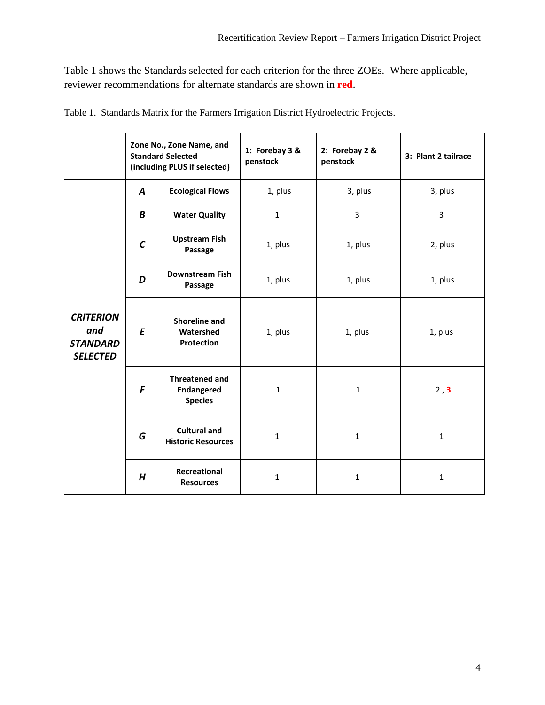Table 1 shows the Standards selected for each criterion for the three ZOEs. Where applicable, reviewer recommendations for alternate standards are shown in **red**.

|                                                               | Zone No., Zone Name, and<br><b>Standard Selected</b><br>(including PLUS if selected) |                                                              | 1: Forebay 3 &<br>penstock | 2: Forebay 2 &<br>penstock | 3: Plant 2 tailrace |
|---------------------------------------------------------------|--------------------------------------------------------------------------------------|--------------------------------------------------------------|----------------------------|----------------------------|---------------------|
|                                                               | $\boldsymbol{A}$                                                                     | <b>Ecological Flows</b>                                      | 1, plus                    | 3, plus                    | 3, plus             |
|                                                               | B                                                                                    | <b>Water Quality</b>                                         | $\mathbf{1}$               | 3                          | 3                   |
|                                                               | $\mathcal{C}$                                                                        | <b>Upstream Fish</b><br>Passage                              | 1, plus                    | 1, plus                    | 2, plus             |
|                                                               | D                                                                                    | <b>Downstream Fish</b><br>Passage                            | 1, plus                    | 1, plus                    | 1, plus             |
| <b>CRITERION</b><br>and<br><b>STANDARD</b><br><b>SELECTED</b> | $\boldsymbol{E}$                                                                     | Shoreline and<br>Watershed<br>Protection                     | 1, plus                    | 1, plus                    | 1, plus             |
|                                                               | F                                                                                    | <b>Threatened and</b><br><b>Endangered</b><br><b>Species</b> | $\mathbf{1}$               | 1                          | 2, 3                |
|                                                               | G                                                                                    | <b>Cultural and</b><br><b>Historic Resources</b>             | $\mathbf{1}$               | $\mathbf{1}$               | $\mathbf{1}$        |
|                                                               | H                                                                                    | Recreational<br><b>Resources</b>                             | $\mathbf{1}$               | $\mathbf{1}$               | $\mathbf{1}$        |

Table 1. Standards Matrix for the Farmers Irrigation District Hydroelectric Projects.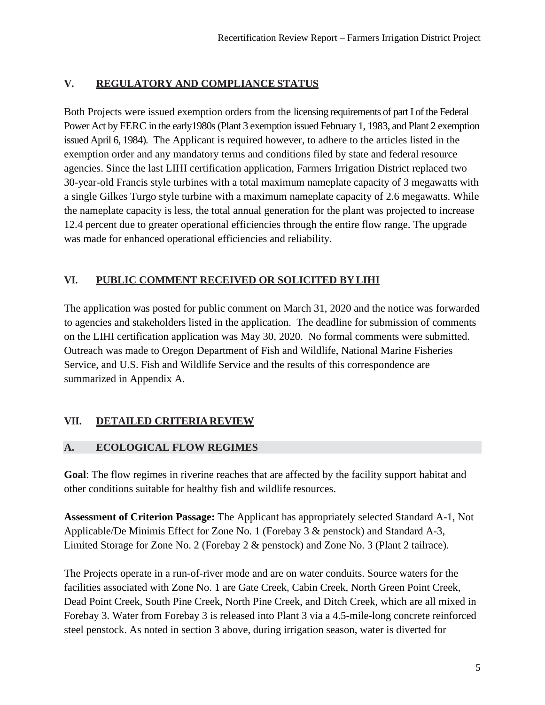# **V. REGULATORY AND COMPLIANCE STATUS**

Both Projects were issued exemption orders from the licensing requirements of part I of the Federal Power Act by FERC in the early1980s (Plant 3 exemption issued February 1, 1983, and Plant 2 exemption issued April 6, 1984). The Applicant is required however, to adhere to the articles listed in the exemption order and any mandatory terms and conditions filed by state and federal resource agencies. Since the last LIHI certification application, Farmers Irrigation District replaced two 30-year-old Francis style turbines with a total maximum nameplate capacity of 3 megawatts with a single Gilkes Turgo style turbine with a maximum nameplate capacity of 2.6 megawatts. While the nameplate capacity is less, the total annual generation for the plant was projected to increase 12.4 percent due to greater operational efficiencies through the entire flow range. The upgrade was made for enhanced operational efficiencies and reliability.

### **VI. PUBLIC COMMENT RECEIVED OR SOLICITED BYLIHI**

The application was posted for public comment on March 31, 2020 and the notice was forwarded to agencies and stakeholders listed in the application. The deadline for submission of comments on the LIHI certification application was May 30, 2020. No formal comments were submitted. Outreach was made to Oregon Department of Fish and Wildlife, National Marine Fisheries Service, and U.S. Fish and Wildlife Service and the results of this correspondence are summarized in Appendix A.

# **VII. DETAILED CRITERIA REVIEW**

# **A. ECOLOGICAL FLOW REGIMES**

**Goal**: The flow regimes in riverine reaches that are affected by the facility support habitat and other conditions suitable for healthy fish and wildlife resources.

**Assessment of Criterion Passage:** The Applicant has appropriately selected Standard A-1, Not Applicable/De Minimis Effect for Zone No. 1 (Forebay 3 & penstock) and Standard A-3, Limited Storage for Zone No. 2 (Forebay 2 & penstock) and Zone No. 3 (Plant 2 tailrace).

The Projects operate in a run-of-river mode and are on water conduits. Source waters for the facilities associated with Zone No. 1 are Gate Creek, Cabin Creek, North Green Point Creek, Dead Point Creek, South Pine Creek, North Pine Creek, and Ditch Creek, which are all mixed in Forebay 3. Water from Forebay 3 is released into Plant 3 via a 4.5-mile-long concrete reinforced steel penstock. As noted in section 3 above, during irrigation season, water is diverted for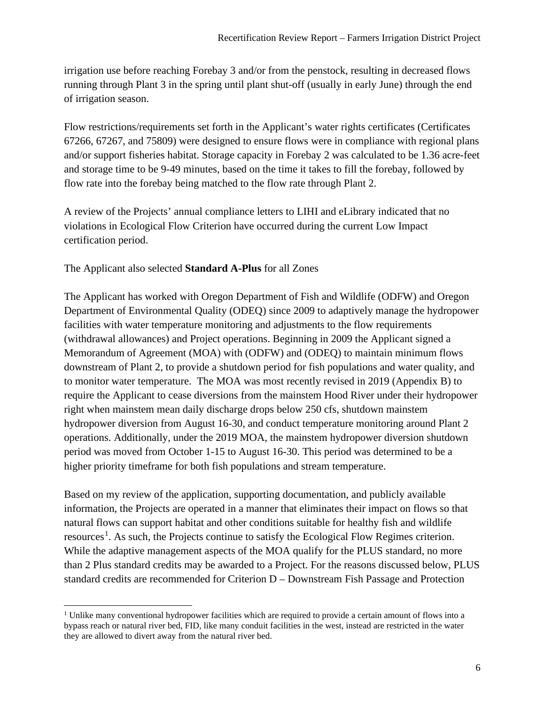irrigation use before reaching Forebay 3 and/or from the penstock, resulting in decreased flows running through Plant 3 in the spring until plant shut-off (usually in early June) through the end of irrigation season.

Flow restrictions/requirements set forth in the Applicant's water rights certificates (Certificates 67266, 67267, and 75809) were designed to ensure flows were in compliance with regional plans and/or support fisheries habitat. Storage capacity in Forebay 2 was calculated to be 1.36 acre-feet and storage time to be 9-49 minutes, based on the time it takes to fill the forebay, followed by flow rate into the forebay being matched to the flow rate through Plant 2.

A review of the Projects' annual compliance letters to LIHI and eLibrary indicated that no violations in Ecological Flow Criterion have occurred during the current Low Impact certification period.

The Applicant also selected **Standard A-Plus** for all Zones

The Applicant has worked with Oregon Department of Fish and Wildlife (ODFW) and Oregon Department of Environmental Quality (ODEQ) since 2009 to adaptively manage the hydropower facilities with water temperature monitoring and adjustments to the flow requirements (withdrawal allowances) and Project operations. Beginning in 2009 the Applicant signed a Memorandum of Agreement (MOA) with (ODFW) and (ODEQ) to maintain minimum flows downstream of Plant 2, to provide a shutdown period for fish populations and water quality, and to monitor water temperature. The MOA was most recently revised in 2019 (Appendix B) to require the Applicant to cease diversions from the mainstem Hood River under their hydropower right when mainstem mean daily discharge drops below 250 cfs, shutdown mainstem hydropower diversion from August 16-30, and conduct temperature monitoring around Plant 2 operations. Additionally, under the 2019 MOA, the mainstem hydropower diversion shutdown period was moved from October 1-15 to August 16-30. This period was determined to be a higher priority timeframe for both fish populations and stream temperature.

Based on my review of the application, supporting documentation, and publicly available information, the Projects are operated in a manner that eliminates their impact on flows so that natural flows can support habitat and other conditions suitable for healthy fish and wildlife resources<sup>[1](#page-5-0)</sup>. As such, the Projects continue to satisfy the Ecological Flow Regimes criterion. While the adaptive management aspects of the MOA qualify for the PLUS standard, no more than 2 Plus standard credits may be awarded to a Project. For the reasons discussed below, PLUS standard credits are recommended for Criterion D – Downstream Fish Passage and Protection

<span id="page-5-0"></span><sup>&</sup>lt;sup>1</sup> Unlike many conventional hydropower facilities which are required to provide a certain amount of flows into a bypass reach or natural river bed, FID, like many conduit facilities in the west, instead are restricted in the water they are allowed to divert away from the natural river bed.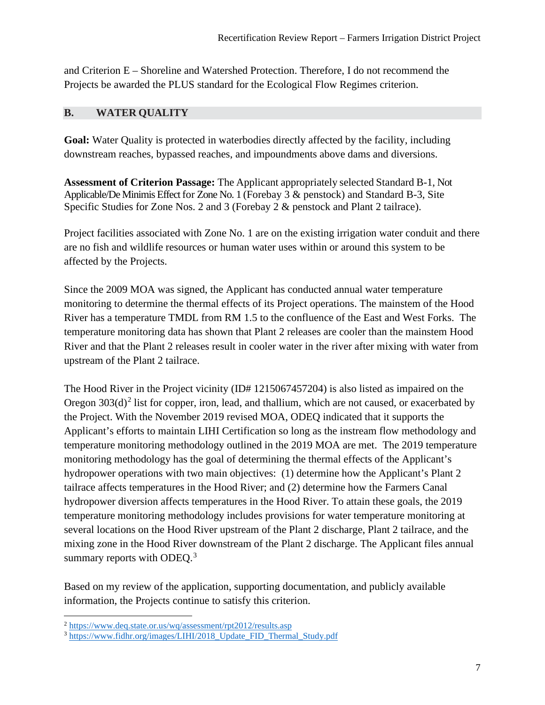and Criterion E – Shoreline and Watershed Protection. Therefore, I do not recommend the Projects be awarded the PLUS standard for the Ecological Flow Regimes criterion.

### **B. WATER QUALITY**

**Goal:** Water Quality is protected in waterbodies directly affected by the facility, including downstream reaches, bypassed reaches, and impoundments above dams and diversions.

**Assessment of Criterion Passage:** The Applicant appropriately selected Standard B-1, Not Applicable/De Minimis Effect for Zone No. 1 (Forebay  $3 \&$  penstock) and Standard B-3, Site Specific Studies for Zone Nos. 2 and 3 (Forebay 2 & penstock and Plant 2 tailrace).

Project facilities associated with Zone No. 1 are on the existing irrigation water conduit and there are no fish and wildlife resources or human water uses within or around this system to be affected by the Projects.

Since the 2009 MOA was signed, the Applicant has conducted annual water temperature monitoring to determine the thermal effects of its Project operations. The mainstem of the Hood River has a temperature TMDL from RM 1.5 to the confluence of the East and West Forks. The temperature monitoring data has shown that Plant 2 releases are cooler than the mainstem Hood River and that the Plant 2 releases result in cooler water in the river after mixing with water from upstream of the Plant 2 tailrace.

The Hood River in the Project vicinity (ID# 1215067457204) is also listed as impaired on the Oregon  $303(d)^2$  $303(d)^2$  list for copper, iron, lead, and thallium, which are not caused, or exacerbated by the Project. With the November 2019 revised MOA, ODEQ indicated that it supports the Applicant's efforts to maintain LIHI Certification so long as the instream flow methodology and temperature monitoring methodology outlined in the 2019 MOA are met. The 2019 temperature monitoring methodology has the goal of determining the thermal effects of the Applicant's hydropower operations with two main objectives: (1) determine how the Applicant's Plant 2 tailrace affects temperatures in the Hood River; and (2) determine how the Farmers Canal hydropower diversion affects temperatures in the Hood River. To attain these goals, the 2019 temperature monitoring methodology includes provisions for water temperature monitoring at several locations on the Hood River upstream of the Plant 2 discharge, Plant 2 tailrace, and the mixing zone in the Hood River downstream of the Plant 2 discharge. The Applicant files annual summary reports with ODEQ.<sup>[3](#page-6-1)</sup>

Based on my review of the application, supporting documentation, and publicly available information, the Projects continue to satisfy this criterion.

<span id="page-6-0"></span><sup>2</sup> <https://www.deq.state.or.us/wq/assessment/rpt2012/results.asp>

<span id="page-6-1"></span><sup>&</sup>lt;sup>3</sup> [https://www.fidhr.org/images/LIHI/2018\\_Update\\_FID\\_Thermal\\_Study.pdf](https://www.fidhr.org/images/LIHI/2018_Update_FID_Thermal_Study.pdf)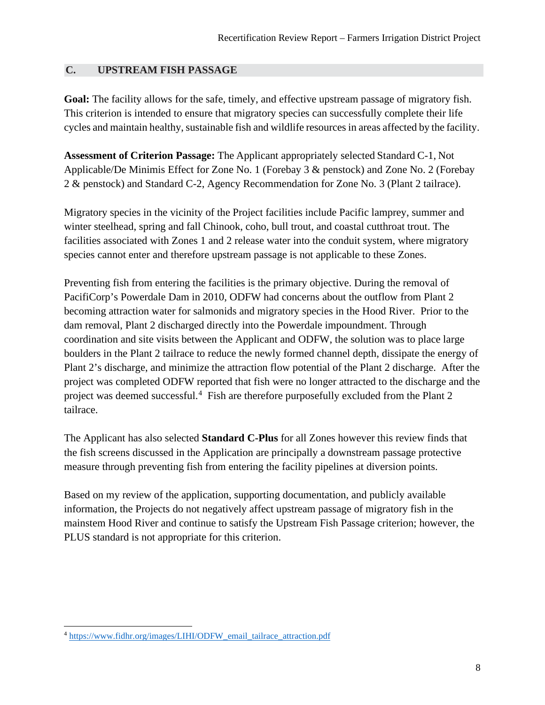#### **C. UPSTREAM FISH PASSAGE**

**Goal:** The facility allows for the safe, timely, and effective upstream passage of migratory fish. This criterion is intended to ensure that migratory species can successfully complete their life cycles and maintain healthy, sustainable fish and wildlife resources in areas affected by the facility.

**Assessment of Criterion Passage:** The Applicant appropriately selected Standard C-1, Not Applicable/De Minimis Effect for Zone No. 1 (Forebay 3 & penstock) and Zone No. 2 (Forebay 2 & penstock) and Standard C-2, Agency Recommendation for Zone No. 3 (Plant 2 tailrace).

Migratory species in the vicinity of the Project facilities include Pacific lamprey, summer and winter steelhead, spring and fall Chinook, coho, bull trout, and coastal cutthroat trout. The facilities associated with Zones 1 and 2 release water into the conduit system, where migratory species cannot enter and therefore upstream passage is not applicable to these Zones.

Preventing fish from entering the facilities is the primary objective. During the removal of PacifiCorp's Powerdale Dam in 2010, ODFW had concerns about the outflow from Plant 2 becoming attraction water for salmonids and migratory species in the Hood River. Prior to the dam removal, Plant 2 discharged directly into the Powerdale impoundment. Through coordination and site visits between the Applicant and ODFW, the solution was to place large boulders in the Plant 2 tailrace to reduce the newly formed channel depth, dissipate the energy of Plant 2's discharge, and minimize the attraction flow potential of the Plant 2 discharge. After the project was completed ODFW reported that fish were no longer attracted to the discharge and the project was deemed successful.<sup>[4](#page-7-0)</sup> Fish are therefore purposefully excluded from the Plant 2 tailrace.

The Applicant has also selected **Standard C-Plus** for all Zones however this review finds that the fish screens discussed in the Application are principally a downstream passage protective measure through preventing fish from entering the facility pipelines at diversion points.

Based on my review of the application, supporting documentation, and publicly available information, the Projects do not negatively affect upstream passage of migratory fish in the mainstem Hood River and continue to satisfy the Upstream Fish Passage criterion; however, the PLUS standard is not appropriate for this criterion.

<span id="page-7-0"></span><sup>4</sup> [https://www.fidhr.org/images/LIHI/ODFW\\_email\\_tailrace\\_attraction.pdf](https://www.fidhr.org/images/LIHI/ODFW_email_tailrace_attraction.pdf)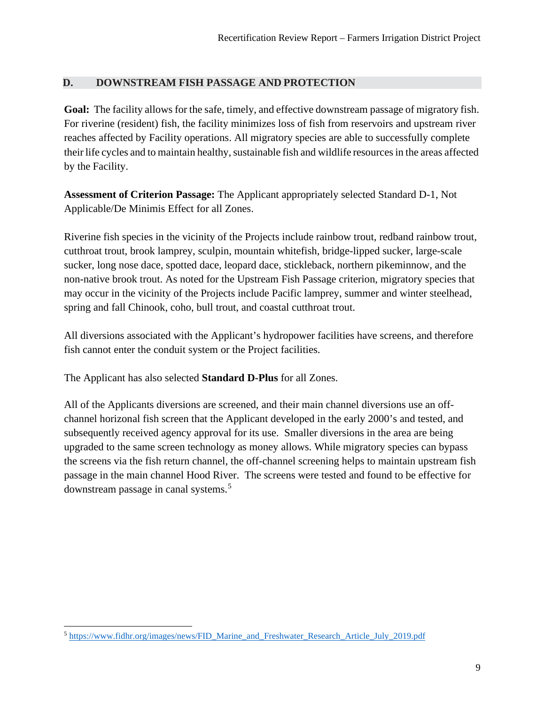### **D. DOWNSTREAM FISH PASSAGE AND PROTECTION**

**Goal:** The facility allows for the safe, timely, and effective downstream passage of migratory fish. For riverine (resident) fish, the facility minimizes loss of fish from reservoirs and upstream river reaches affected by Facility operations. All migratory species are able to successfully complete their life cycles and to maintain healthy, sustainable fish and wildlife resources in the areas affected by the Facility.

**Assessment of Criterion Passage:** The Applicant appropriately selected Standard D-1, Not Applicable/De Minimis Effect for all Zones.

Riverine fish species in the vicinity of the Projects include rainbow trout, redband rainbow trout, cutthroat trout, brook lamprey, sculpin, mountain whitefish, bridge-lipped sucker, large-scale sucker, long nose dace, spotted dace, leopard dace, stickleback, northern pikeminnow, and the non-native brook trout. As noted for the Upstream Fish Passage criterion, migratory species that may occur in the vicinity of the Projects include Pacific lamprey, summer and winter steelhead, spring and fall Chinook, coho, bull trout, and coastal cutthroat trout.

All diversions associated with the Applicant's hydropower facilities have screens, and therefore fish cannot enter the conduit system or the Project facilities.

The Applicant has also selected **Standard D-Plus** for all Zones.

All of the Applicants diversions are screened, and their main channel diversions use an offchannel horizonal fish screen that the Applicant developed in the early 2000's and tested, and subsequently received agency approval for its use. Smaller diversions in the area are being upgraded to the same screen technology as money allows. While migratory species can bypass the screens via the fish return channel, the off-channel screening helps to maintain upstream fish passage in the main channel Hood River. The screens were tested and found to be effective for downstream passage in canal systems.<sup>[5](#page-8-0)</sup>

<span id="page-8-0"></span><sup>5</sup> [https://www.fidhr.org/images/news/FID\\_Marine\\_and\\_Freshwater\\_Research\\_Article\\_July\\_2019.pdf](https://www.fidhr.org/images/news/FID_Marine_and_Freshwater_Research_Article_July_2019.pdf)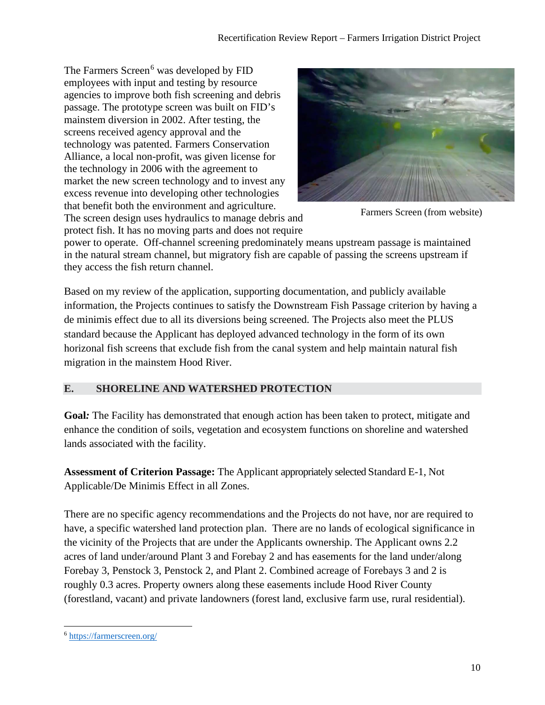The Farmers Screen<sup>[6](#page-9-0)</sup> was developed by FID employees with input and testing by resource agencies to improve both fish screening and debris passage. The prototype screen was built on FID's mainstem diversion in 2002. After testing, the screens received agency approval and the technology was patented. Farmers Conservation Alliance, a local non-profit, was given license for the technology in 2006 with the agreement to market the new screen technology and to invest any excess revenue into developing other technologies that benefit both the environment and agriculture. The screen design uses hydraulics to manage debris and protect fish. It has no moving parts and does not require



Farmers Screen (from website)

power to operate. Off-channel screening predominately means upstream passage is maintained in the natural stream channel, but migratory fish are capable of passing the screens upstream if they access the fish return channel.

Based on my review of the application, supporting documentation, and publicly available information, the Projects continues to satisfy the Downstream Fish Passage criterion by having a de minimis effect due to all its diversions being screened. The Projects also meet the PLUS standard because the Applicant has deployed advanced technology in the form of its own horizonal fish screens that exclude fish from the canal system and help maintain natural fish migration in the mainstem Hood River.

# **E. SHORELINE AND WATERSHED PROTECTION**

**Goal***:* The Facility has demonstrated that enough action has been taken to protect, mitigate and enhance the condition of soils, vegetation and ecosystem functions on shoreline and watershed lands associated with the facility.

**Assessment of Criterion Passage:** The Applicant appropriately selected Standard E-1, Not Applicable/De Minimis Effect in all Zones.

There are no specific agency recommendations and the Projects do not have, nor are required to have, a specific watershed land protection plan. There are no lands of ecological significance in the vicinity of the Projects that are under the Applicants ownership. The Applicant owns 2.2 acres of land under/around Plant 3 and Forebay 2 and has easements for the land under/along Forebay 3, Penstock 3, Penstock 2, and Plant 2. Combined acreage of Forebays 3 and 2 is roughly 0.3 acres. Property owners along these easements include Hood River County (forestland, vacant) and private landowners (forest land, exclusive farm use, rural residential).

<span id="page-9-0"></span><sup>6</sup> <https://farmerscreen.org/>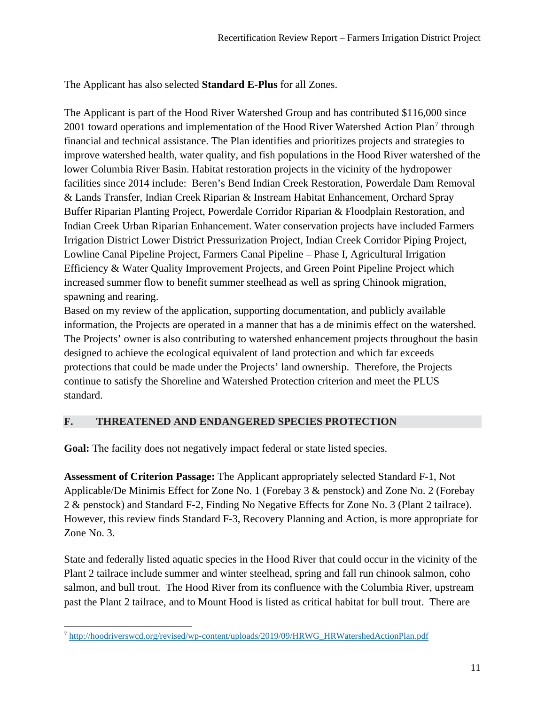The Applicant has also selected **Standard E-Plus** for all Zones.

The Applicant is part of the Hood River Watershed Group and has contributed \$116,000 since 2001 toward operations and implementation of the Hood River Watershed Action Plan<sup>[7](#page-10-0)</sup> through financial and technical assistance. The Plan identifies and prioritizes projects and strategies to improve watershed health, water quality, and fish populations in the Hood River watershed of the lower Columbia River Basin. Habitat restoration projects in the vicinity of the hydropower facilities since 2014 include: Beren's Bend Indian Creek Restoration, Powerdale Dam Removal & Lands Transfer, Indian Creek Riparian & Instream Habitat Enhancement, Orchard Spray Buffer Riparian Planting Project, Powerdale Corridor Riparian & Floodplain Restoration, and Indian Creek Urban Riparian Enhancement. Water conservation projects have included Farmers Irrigation District Lower District Pressurization Project, Indian Creek Corridor Piping Project, Lowline Canal Pipeline Project, Farmers Canal Pipeline – Phase I, Agricultural Irrigation Efficiency & Water Quality Improvement Projects, and Green Point Pipeline Project which increased summer flow to benefit summer steelhead as well as spring Chinook migration, spawning and rearing.

Based on my review of the application, supporting documentation, and publicly available information, the Projects are operated in a manner that has a de minimis effect on the watershed. The Projects' owner is also contributing to watershed enhancement projects throughout the basin designed to achieve the ecological equivalent of land protection and which far exceeds protections that could be made under the Projects' land ownership. Therefore, the Projects continue to satisfy the Shoreline and Watershed Protection criterion and meet the PLUS standard.

### **F. THREATENED AND ENDANGERED SPECIES PROTECTION**

Goal: The facility does not negatively impact federal or state listed species.

**Assessment of Criterion Passage:** The Applicant appropriately selected Standard F-1, Not Applicable/De Minimis Effect for Zone No. 1 (Forebay 3 & penstock) and Zone No. 2 (Forebay 2 & penstock) and Standard F-2, Finding No Negative Effects for Zone No. 3 (Plant 2 tailrace). However, this review finds Standard F-3, Recovery Planning and Action, is more appropriate for Zone No. 3.

State and federally listed aquatic species in the Hood River that could occur in the vicinity of the Plant 2 tailrace include summer and winter steelhead, spring and fall run chinook salmon, coho salmon, and bull trout. The Hood River from its confluence with the Columbia River, upstream past the Plant 2 tailrace, and to Mount Hood is listed as critical habitat for bull trout. There are

<span id="page-10-0"></span><sup>7</sup> [http://hoodriverswcd.org/revised/wp-content/uploads/2019/09/HRWG\\_HRWatershedActionPlan.pdf](http://hoodriverswcd.org/revised/wp-content/uploads/2019/09/HRWG_HRWatershedActionPlan.pdf)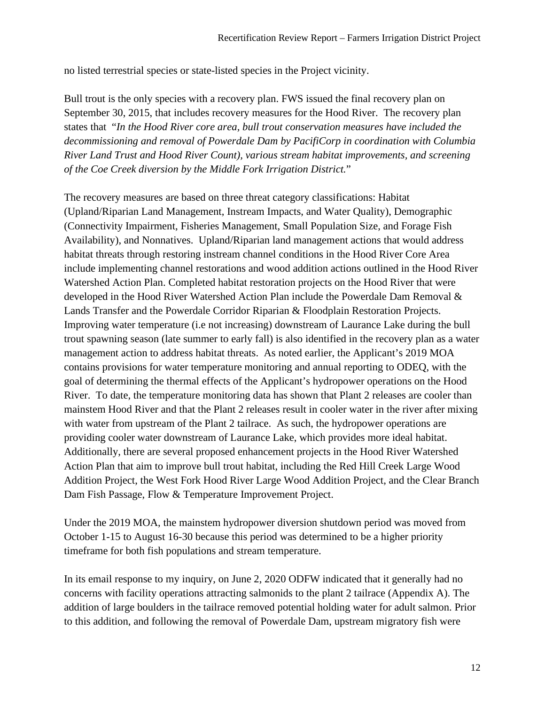no listed terrestrial species or state-listed species in the Project vicinity.

Bull trout is the only species with a recovery plan. FWS issued the final recovery plan on September 30, 2015, that includes recovery measures for the Hood River. The recovery plan states that "*In the Hood River core area, bull trout conservation measures have included the decommissioning and removal of Powerdale Dam by PacifiCorp in coordination with Columbia River Land Trust and Hood River Count), various stream habitat improvements, and screening of the Coe Creek diversion by the Middle Fork Irrigation District.*"

The recovery measures are based on three threat category classifications: Habitat (Upland/Riparian Land Management, Instream Impacts, and Water Quality), Demographic (Connectivity Impairment, Fisheries Management, Small Population Size, and Forage Fish Availability), and Nonnatives. Upland/Riparian land management actions that would address habitat threats through restoring instream channel conditions in the Hood River Core Area include implementing channel restorations and wood addition actions outlined in the Hood River Watershed Action Plan. Completed habitat restoration projects on the Hood River that were developed in the Hood River Watershed Action Plan include the Powerdale Dam Removal & Lands Transfer and the Powerdale Corridor Riparian & Floodplain Restoration Projects. Improving water temperature (i.e not increasing) downstream of Laurance Lake during the bull trout spawning season (late summer to early fall) is also identified in the recovery plan as a water management action to address habitat threats. As noted earlier, the Applicant's 2019 MOA contains provisions for water temperature monitoring and annual reporting to ODEQ, with the goal of determining the thermal effects of the Applicant's hydropower operations on the Hood River. To date, the temperature monitoring data has shown that Plant 2 releases are cooler than mainstem Hood River and that the Plant 2 releases result in cooler water in the river after mixing with water from upstream of the Plant 2 tailrace. As such, the hydropower operations are providing cooler water downstream of Laurance Lake, which provides more ideal habitat. Additionally, there are several proposed enhancement projects in the Hood River Watershed Action Plan that aim to improve bull trout habitat, including the Red Hill Creek Large Wood Addition Project, the West Fork Hood River Large Wood Addition Project, and the Clear Branch Dam Fish Passage, Flow & Temperature Improvement Project.

Under the 2019 MOA, the mainstem hydropower diversion shutdown period was moved from October 1-15 to August 16-30 because this period was determined to be a higher priority timeframe for both fish populations and stream temperature.

In its email response to my inquiry, on June 2, 2020 ODFW indicated that it generally had no concerns with facility operations attracting salmonids to the plant 2 tailrace (Appendix A). The addition of large boulders in the tailrace removed potential holding water for adult salmon. Prior to this addition, and following the removal of Powerdale Dam, upstream migratory fish were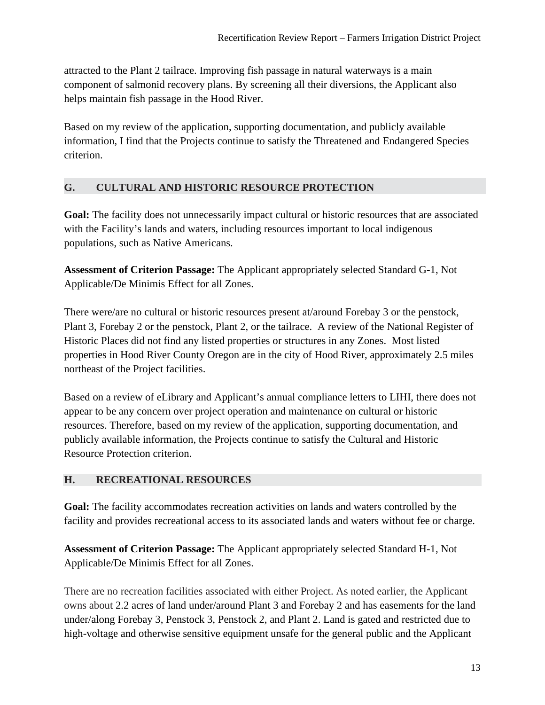attracted to the Plant 2 tailrace. Improving fish passage in natural waterways is a main component of salmonid recovery plans. By screening all their diversions, the Applicant also helps maintain fish passage in the Hood River.

Based on my review of the application, supporting documentation, and publicly available information, I find that the Projects continue to satisfy the Threatened and Endangered Species criterion.

# **G. CULTURAL AND HISTORIC RESOURCE PROTECTION**

Goal: The facility does not unnecessarily impact cultural or historic resources that are associated with the Facility's lands and waters, including resources important to local indigenous populations, such as Native Americans.

**Assessment of Criterion Passage:** The Applicant appropriately selected Standard G-1, Not Applicable/De Minimis Effect for all Zones.

There were/are no cultural or historic resources present at/around Forebay 3 or the penstock, Plant 3, Forebay 2 or the penstock, Plant 2, or the tailrace. A review of the National Register of Historic Places did not find any listed properties or structures in any Zones. Most listed properties in Hood River County Oregon are in the city of Hood River, approximately 2.5 miles northeast of the Project facilities.

Based on a review of eLibrary and Applicant's annual compliance letters to LIHI, there does not appear to be any concern over project operation and maintenance on cultural or historic resources. Therefore, based on my review of the application, supporting documentation, and publicly available information, the Projects continue to satisfy the Cultural and Historic Resource Protection criterion.

### **H. RECREATIONAL RESOURCES**

**Goal:** The facility accommodates recreation activities on lands and waters controlled by the facility and provides recreational access to its associated lands and waters without fee or charge.

**Assessment of Criterion Passage:** The Applicant appropriately selected Standard H-1, Not Applicable/De Minimis Effect for all Zones.

There are no recreation facilities associated with either Project. As noted earlier, the Applicant owns about 2.2 acres of land under/around Plant 3 and Forebay 2 and has easements for the land under/along Forebay 3, Penstock 3, Penstock 2, and Plant 2. Land is gated and restricted due to high-voltage and otherwise sensitive equipment unsafe for the general public and the Applicant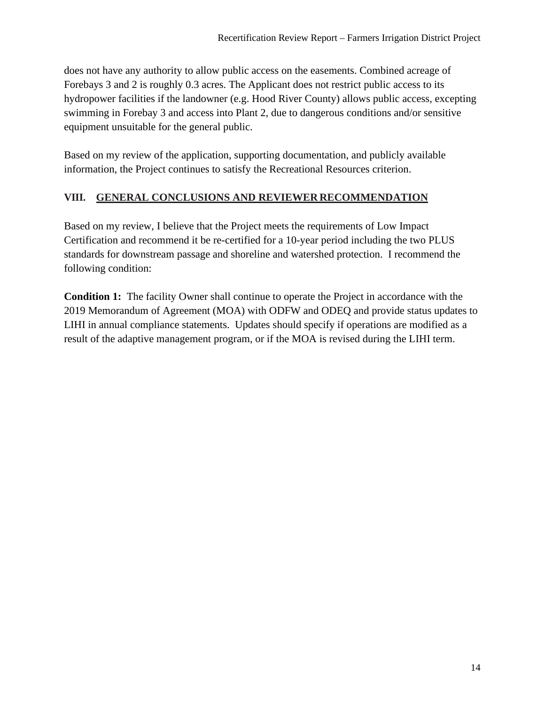does not have any authority to allow public access on the easements. Combined acreage of Forebays 3 and 2 is roughly 0.3 acres. The Applicant does not restrict public access to its hydropower facilities if the landowner (e.g. Hood River County) allows public access, excepting swimming in Forebay 3 and access into Plant 2, due to dangerous conditions and/or sensitive equipment unsuitable for the general public.

Based on my review of the application, supporting documentation, and publicly available information, the Project continues to satisfy the Recreational Resources criterion.

# **VIII. GENERAL CONCLUSIONS AND REVIEWER RECOMMENDATION**

Based on my review, I believe that the Project meets the requirements of Low Impact Certification and recommend it be re-certified for a 10-year period including the two PLUS standards for downstream passage and shoreline and watershed protection. I recommend the following condition:

**Condition 1:** The facility Owner shall continue to operate the Project in accordance with the 2019 Memorandum of Agreement (MOA) with ODFW and ODEQ and provide status updates to LIHI in annual compliance statements. Updates should specify if operations are modified as a result of the adaptive management program, or if the MOA is revised during the LIHI term.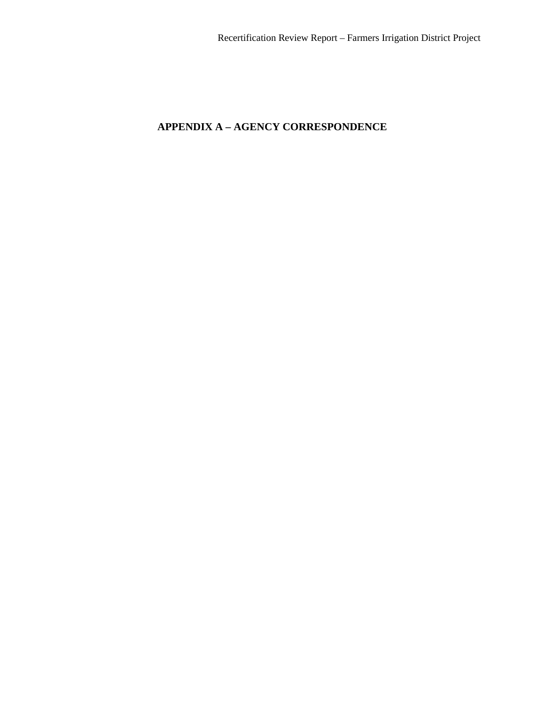# **APPENDIX A – AGENCY CORRESPONDENCE**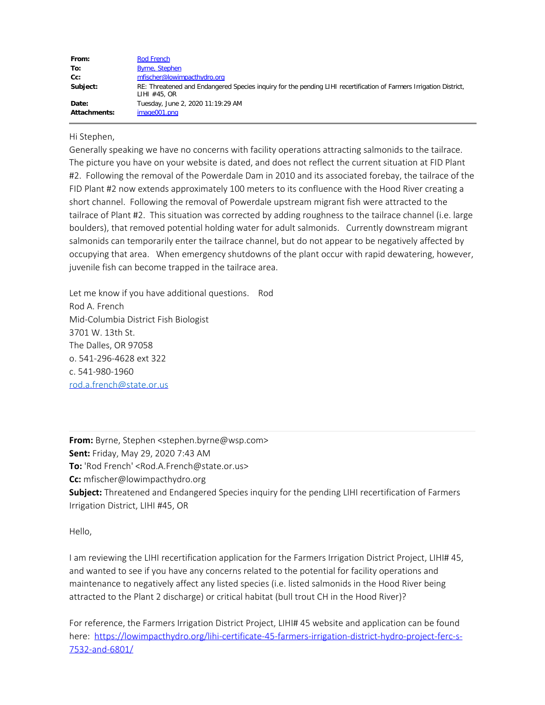| From:               | Rod French                                                                                                                         |
|---------------------|------------------------------------------------------------------------------------------------------------------------------------|
| To:                 | <b>Byrne, Stephen</b>                                                                                                              |
| Cc:                 | mfischer@lowimpacthydro.org                                                                                                        |
| Subject:            | RE: Threatened and Endangered Species inquiry for the pending LIHI recertification of Farmers Irrigation District,<br>LIHI #45, OR |
| Date:               | Tuesday, June 2, 2020 11:19:29 AM                                                                                                  |
| <b>Attachments:</b> | image001.png                                                                                                                       |

Hi Stephen,

Generally speaking we have no concerns with facility operations attracting salmonids to the tailrace. The picture you have on your website is dated, and does not reflect the current situation at FID Plant #2. Following the removal of the Powerdale Dam in 2010 and its associated forebay, the tailrace of the FID Plant #2 now extends approximately 100 meters to its confluence with the Hood River creating a short channel. Following the removal of Powerdale upstream migrant fish were attracted to the tailrace of Plant #2. This situation was corrected by adding roughness to the tailrace channel (i.e. large boulders), that removed potential holding water for adult salmonids. Currently downstream migrant salmonids can temporarily enter the tailrace channel, but do not appear to be negatively affected by occupying that area. When emergency shutdowns of the plant occur with rapid dewatering, however, juvenile fish can become trapped in the tailrace area.

Let me know if you have additional questions. Rod Rod A. French Mid-Columbia District Fish Biologist 3701 W. 13th St. The Dalles, OR 97058 o. 541-296-4628 ext 322 c. 541-980-1960 [rod.a.french@state.or.us](mailto:rod.a.french@state.or.us)

**From:** Byrne, Stephen <stephen.byrne@wsp.com> **Sent:** Friday, May 29, 2020 7:43 AM **To:** 'Rod French' <Rod.A.French@state.or.us> **Cc:** mfischer@lowimpacthydro.org **Subject:** Threatened and Endangered Species inquiry for the pending LIHI recertification of Farmers Irrigation District, LIHI #45, OR

Hello,

I am reviewing the LIHI recertification application for the Farmers Irrigation District Project, LIHI# 45, and wanted to see if you have any concerns related to the potential for facility operations and maintenance to negatively affect any listed species (i.e. listed salmonids in the Hood River being attracted to the Plant 2 discharge) or critical habitat (bull trout CH in the Hood River)?

For reference, the Farmers Irrigation District Project, LIHI# 45 website and application can be found here: [https://lowimpacthydro.org/lihi-certificate-45-farmers-irrigation-district-hydro-project-ferc-s-](https://lowimpacthydro.org/lihi-certificate-45-farmers-irrigation-district-hydro-project-ferc-s-7532-and-6801/)[7532-and-6801/](https://lowimpacthydro.org/lihi-certificate-45-farmers-irrigation-district-hydro-project-ferc-s-7532-and-6801/)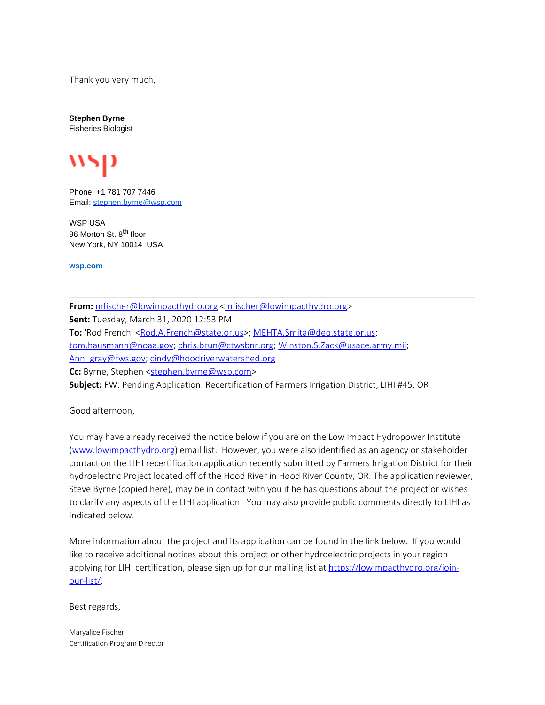Thank you very much,

**Stephen Byrne** Fisheries Biologist



Phone: +1 781 707 7446 Email: [stephen.byrne@wsp.com](mailto:stephen.byrne@wsp.com)

WSP USA 96 Morton St. 8<sup>th</sup> floor New York, NY 10014 USA

**[wsp.com](http://www.wsp-pb.com/usa)**

**From:** [mfischer@lowimpacthydro.org](mailto:mfischer@lowimpacthydro.org) [<mfischer@lowimpacthydro.org](mailto:mfischer@lowimpacthydro.org)> **Sent:** Tuesday, March 31, 2020 12:53 PM To: 'Rod French' [<Rod.A.French@state.or.us](mailto:Rod.A.French@state.or.us)>; [MEHTA.Smita@deq.state.or.us](mailto:MEHTA.Smita@deq.state.or.us); [tom.hausmann@noaa.gov;](mailto:tom.hausmann@noaa.gov) [chris.brun@ctwsbnr.org](mailto:chris.brun@ctwsbnr.org); [Winston.S.Zack@usace.army.mil;](mailto:Winston.S.Zack@usace.army.mil) [Ann\\_gray@fws.gov](mailto:Ann_gray@fws.gov); [cindy@hoodriverwatershed.org](mailto:cindy@hoodriverwatershed.org) Cc: Byrne, Stephen [<stephen.byrne@wsp.com](mailto:stephen.byrne@wsp.com)> **Subject:** FW: Pending Application: Recertification of Farmers Irrigation District, LIHI #45, OR

Good afternoon,

You may have already received the notice below if you are on the Low Impact Hydropower Institute [\(www.lowimpacthydro.org](http://www.lowimpacthydro.org/)) email list. However, you were also identified as an agency or stakeholder contact on the LIHI recertification application recently submitted by Farmers Irrigation District for their hydroelectric Project located off of the Hood River in Hood River County, OR. The application reviewer, Steve Byrne (copied here), may be in contact with you if he has questions about the project or wishes to clarify any aspects of the LIHI application. You may also provide public comments directly to LIHI as indicated below.

More information about the project and its application can be found in the link below. If you would like to receive additional notices about this project or other hydroelectric projects in your region applying for LIHI certification, please sign up for our mailing list at [https://lowimpacthydro.org/join](https://lowimpacthydro.org/join-our-list/)[our-list/](https://lowimpacthydro.org/join-our-list/).

Best regards,

Maryalice Fischer Certification Program Director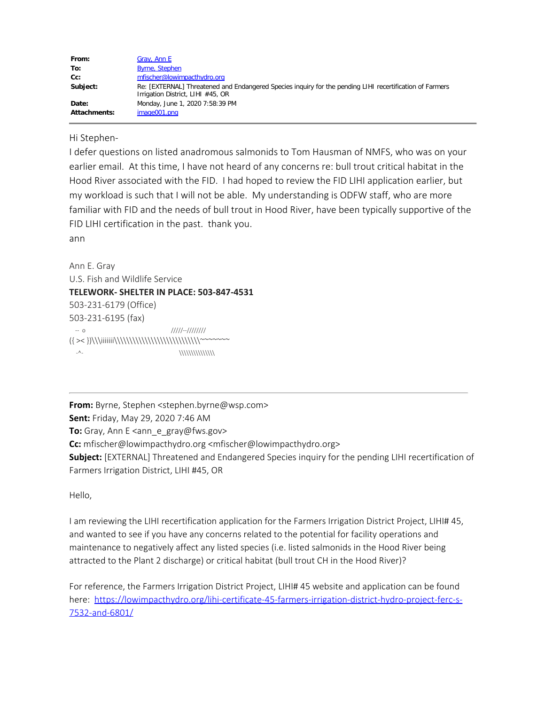| From:               | Gray, Ann E                                                                                                                                   |
|---------------------|-----------------------------------------------------------------------------------------------------------------------------------------------|
| To:                 | <b>Byrne, Stephen</b>                                                                                                                         |
| $Cc$ :              | mfischer@lowimpacthydro.org                                                                                                                   |
| Subject:            | Re: [EXTERNAL] Threatened and Endangered Species inquiry for the pending LIHI recertification of Farmers<br>Irrigation District, LIHI #45, OR |
| Date:               | Monday, June 1, 2020 7:58:39 PM                                                                                                               |
| <b>Attachments:</b> | image001.png                                                                                                                                  |

Hi Stephen-

I defer questions on listed anadromous salmonids to Tom Hausman of NMFS, who was on your earlier email. At this time, I have not heard of any concerns re: bull trout critical habitat in the Hood River associated with the FID. I had hoped to review the FID LIHI application earlier, but my workload is such that I will not be able. My understanding is ODFW staff, who are more familiar with FID and the needs of bull trout in Hood River, have been typically supportive of the FID LIHI certification in the past. thank you.

ann

Ann E. Gray U.S. Fish and Wildlife Service **TELEWORK- SHELTER IN PLACE: 503-847-4531** 503-231-6179 (Office) 503-231-6195 (fax) -- o /////--//////// ({ >< })\\\iiiiiii\\\\\\\\\\\\\\\\\\\\\\\\\\\\~~~~~~~ -^- \\\\\\\\\\\\\\\

**From:** Byrne, Stephen <stephen.byrne@wsp.com>

**Sent:** Friday, May 29, 2020 7:46 AM

**To:** Gray, Ann E <ann\_e\_gray@fws.gov>

**Cc:** mfischer@lowimpacthydro.org <mfischer@lowimpacthydro.org>

**Subject:** [EXTERNAL] Threatened and Endangered Species inquiry for the pending LIHI recertification of Farmers Irrigation District, LIHI #45, OR

Hello,

I am reviewing the LIHI recertification application for the Farmers Irrigation District Project, LIHI# 45, and wanted to see if you have any concerns related to the potential for facility operations and maintenance to negatively affect any listed species (i.e. listed salmonids in the Hood River being attracted to the Plant 2 discharge) or critical habitat (bull trout CH in the Hood River)?

For reference, the Farmers Irrigation District Project, LIHI# 45 website and application can be found here: [https://lowimpacthydro.org/lihi-certificate-45-farmers-irrigation-district-hydro-project-ferc-s-](https://lowimpacthydro.org/lihi-certificate-45-farmers-irrigation-district-hydro-project-ferc-s-7532-and-6801/)[7532-and-6801/](https://lowimpacthydro.org/lihi-certificate-45-farmers-irrigation-district-hydro-project-ferc-s-7532-and-6801/)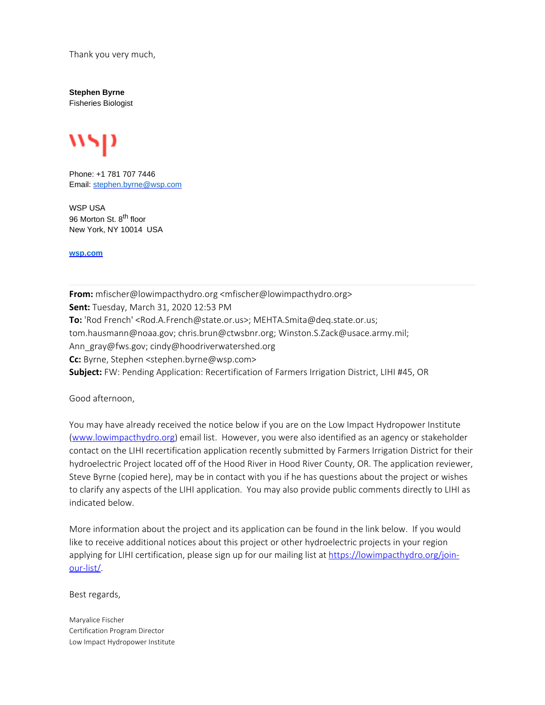Thank you very much,

**Stephen Byrne** Fisheries Biologist



Phone: +1 781 707 7446 Email: [stephen.byrne@wsp.com](mailto:stephen.byrne@wsp.com)

WSP USA 96 Morton St. 8<sup>th</sup> floor New York, NY 10014 USA

**[wsp.com](http://www.wsp-pb.com/usa)**

**From:** mfischer@lowimpacthydro.org <mfischer@lowimpacthydro.org> **Sent:** Tuesday, March 31, 2020 12:53 PM **To:** 'Rod French' <Rod.A.French@state.or.us>; MEHTA.Smita@deq.state.or.us; tom.hausmann@noaa.gov; chris.brun@ctwsbnr.org; Winston.S.Zack@usace.army.mil; Ann\_gray@fws.gov; cindy@hoodriverwatershed.org **Cc:** Byrne, Stephen <stephen.byrne@wsp.com> **Subject:** FW: Pending Application: Recertification of Farmers Irrigation District, LIHI #45, OR

Good afternoon,

You may have already received the notice below if you are on the Low Impact Hydropower Institute [\(www.lowimpacthydro.org](http://www.lowimpacthydro.org/)) email list. However, you were also identified as an agency or stakeholder contact on the LIHI recertification application recently submitted by Farmers Irrigation District for their hydroelectric Project located off of the Hood River in Hood River County, OR. The application reviewer, Steve Byrne (copied here), may be in contact with you if he has questions about the project or wishes to clarify any aspects of the LIHI application. You may also provide public comments directly to LIHI as indicated below.

More information about the project and its application can be found in the link below. If you would like to receive additional notices about this project or other hydroelectric projects in your region applying for LIHI certification, please sign up for our mailing list at [https://lowimpacthydro.org/join](https://lowimpacthydro.org/join-our-list/)[our-list/](https://lowimpacthydro.org/join-our-list/).

Best regards,

Maryalice Fischer Certification Program Director Low Impact Hydropower Institute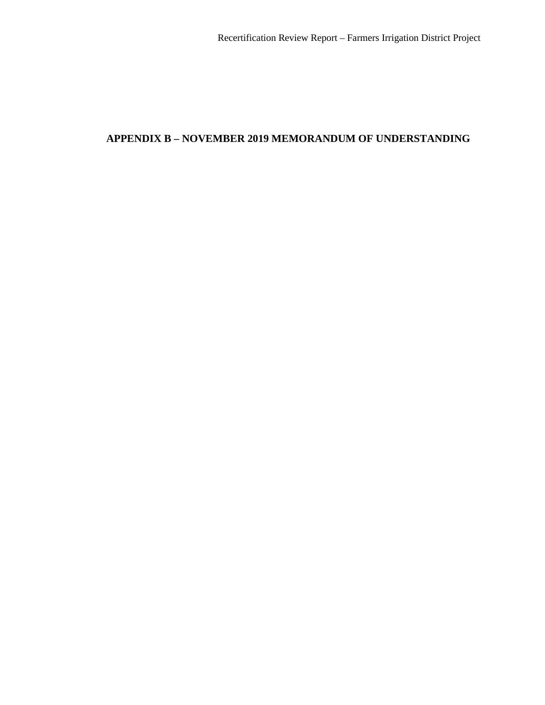# **APPENDIX B – NOVEMBER 2019 MEMORANDUM OF UNDERSTANDING**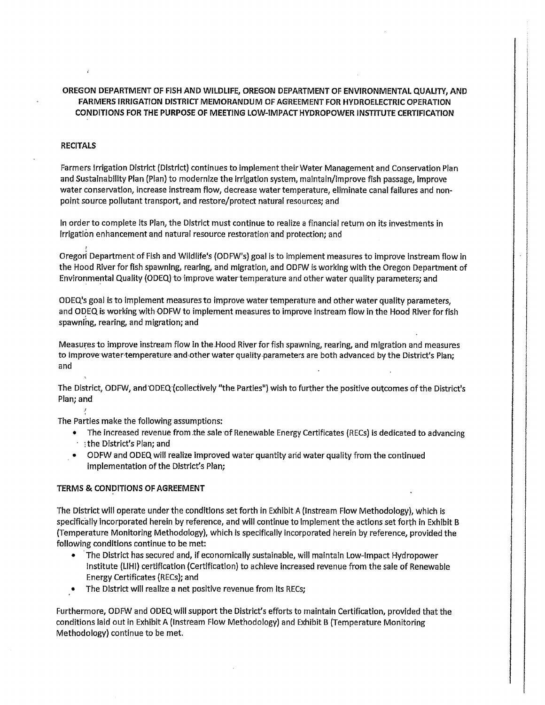#### OREGON DEPARTMENT OF FISH AND WILDLIFE, OREGON DEPARTMENT OF ENVIRONMENTAL QUALITY, AND FARMERS IRRIGATION DISTRICT MEMORANDUM OF AGREEMENT FOR HYDROELECTRIC OPERATION CONDITIONS FOR THE PURPOSE OF MEETING LOW-IMPACT HYDROPOWER INSTITUTE CERTIFICATION

#### **RECITALS**

Farmers Irrigation District (District) continues to implement their Water Management and Conservation Plan and Sustainability Plan (Plan) to modernize the irrigation system, maintain/improve fish passage, improve water conservation, increase instream flow, decrease water temperature, eliminate canal failures and nonpoint source pollutant transport, and restore/protect natural resources; and

In order to complete its Plan, the District must continue to realize a financial return on its investments in Irrigation enhancement and natural resource restoration and protection; and

Oregon Department of Fish and Wildlife's (ODFW's) goal is to implement measures to improve instream flow in the Hood River for fish spawning, rearing, and migration, and ODFW is working with the Oregon Department of Environmental Quality (ODEQ) to improve water temperature and other water quality parameters; and

ODEQ's goal is to implement measures to improve water temperature and other water quality parameters. and ODEQ is working with ODFW to implement measures to improve instream flow in the Hood River for fish spawning, rearing, and migration; and

Measures to improve instream flow in the Hood River for fish spawning, rearing, and migration and measures to improve water temperature and other water quality parameters are both advanced by the District's Plan; and

The District, ODFW, and ODEQ (collectively "the Parties") wish to further the positive outcomes of the District's Plan; and

The Parties make the following assumptions:

- The increased revenue from the sale of Renewable Energy Certificates (RECs) is dedicated to advancing the District's Plan; and
- ODFW and ODEQ will realize improved water quantity and water quality from the continued implementation of the District's Plan;

#### TERMS & CONDITIONS OF AGREEMENT

The District will operate under the conditions set forth in Exhibit A (instream Flow Methodology), which is specifically incorporated herein by reference, and will continue to implement the actions set forth in Exhibit B (Temperature Monitoring Methodology), which is specifically incorporated herein by reference, provided the following conditions continue to be met:

- The District has secured and, if economically sustainable, will maintain Low-Impact Hydropower  $\bullet$ Institute (LIHI) certification (Certification) to achieve increased revenue from the sale of Renewable Energy Certificates (RECs); and
- The District will realize a net positive revenue from its RECs;  $\bullet$

Furthermore, ODFW and ODEQ will support the District's efforts to maintain Certification, provided that the conditions laid out in Exhibit A (Instream Flow Methodology) and Exhibit B (Temperature Monitoring Methodology) continue to be met.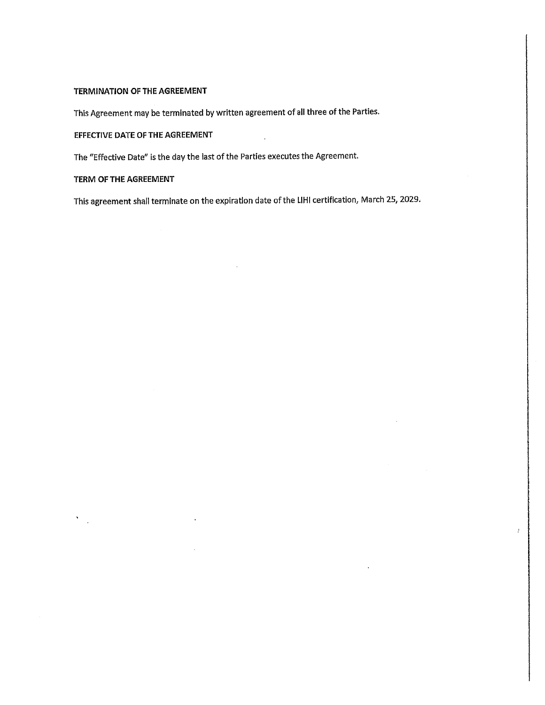#### TERMINATION OF THE AGREEMENT

This Agreement may be terminated by written agreement of all three of the Parties.

EFFECTIVE DATE OF THE AGREEMENT

The "Effective Date" is the day the last of the Parties executes the Agreement.

TERM OF THE AGREEMENT

 $\frac{1}{2}$ 

This agreement shall terminate on the expiration date of the LIHI certification, March 25, 2029.

 $\ddot{\phantom{a}}$ 

þ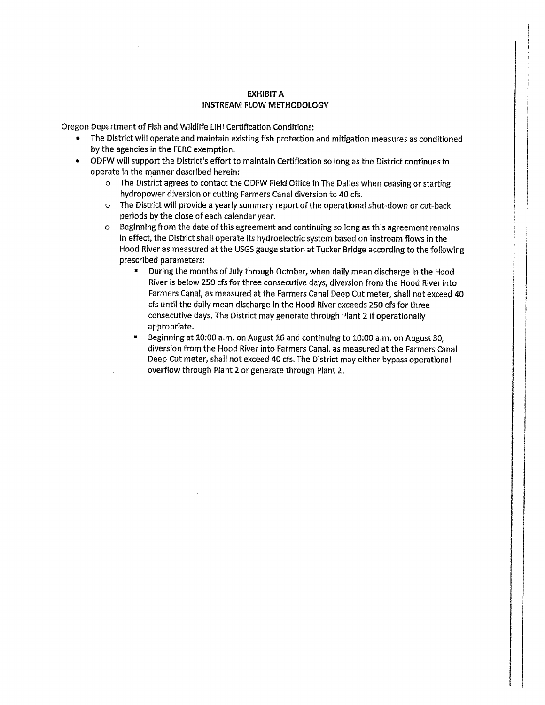#### **EXHIBIT A INSTREAM FLOW METHODOLOGY**

Oregon Department of Fish and Wildlife LIHI Certification Conditions:

- The District will operate and maintain existing fish protection and mitigation measures as conditioned by the agencies in the FERC exemption.
- ODFW will support the District's effort to maintain Certification so long as the District continues to operate in the manner described herein:
	- o The District agrees to contact the ODFW Field Office in The Dalles when ceasing or starting hydropower diversion or cutting Farmers Canal diversion to 40 cfs.
	- o The District will provide a yearly summary report of the operational shut-down or cut-back periods by the close of each calendar year.
	- o Beginning from the date of this agreement and continuing so long as this agreement remains in effect, the District shall operate its hydroelectric system based on instream flows in the Hood River as measured at the USGS gauge station at Tucker Bridge according to the following prescribed parameters:
		- During the months of July through October, when daily mean discharge in the Hood River is below 250 cfs for three consecutive days, diversion from the Hood River into Farmers Canal, as measured at the Farmers Canal Deep Cut meter, shall not exceed 40 cfs until the daily mean discharge in the Hood River exceeds 250 cfs for three consecutive days. The District may generate through Plant 2 if operationally appropriate.
		- Beginning at 10:00 a.m. on August 16 and continuing to 10:00 a.m. on August 30, diversion from the Hood River into Farmers Canal, as measured at the Farmers Canal Deep Cut meter, shall not exceed 40 cfs. The District may either bypass operational overflow through Plant 2 or generate through Plant 2.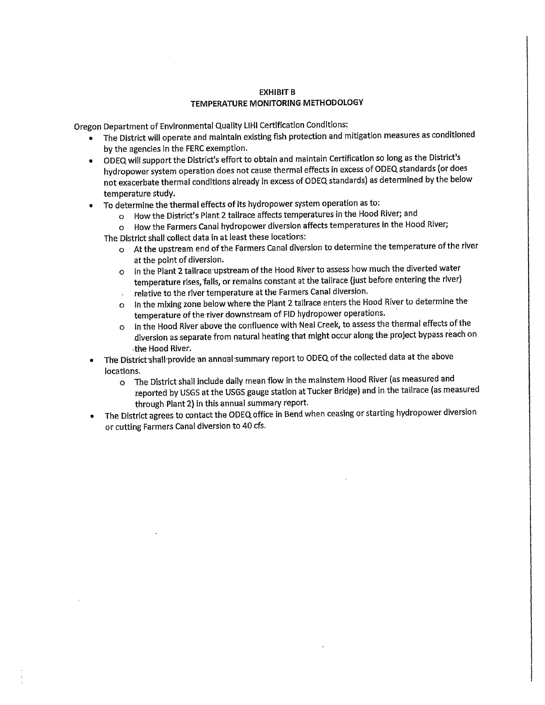#### **EXHIBIT B** TEMPERATURE MONITORING METHODOLOGY

Oregon Department of Environmental Quality LIHI Certification Conditions:

- The District will operate and maintain existing fish protection and mitigation measures as conditioned by the agencies in the FERC exemption.
- ODEQ will support the District's effort to obtain and maintain Certification so long as the District's hydropower system operation does not cause thermal effects in excess of ODEQ standards (or does not exacerbate thermal conditions already in excess of ODEQ standards) as determined by the below temperature study.
- To determine the thermal effects of its hydropower system operation as to:
	- o How the District's Plant 2 tailrace affects temperatures in the Hood River; and
	- o How the Farmers Canal hydropower diversion affects temperatures in the Hood River;
	- The District shall collect data in at least these locations:
		- o At the upstream end of the Farmers Canal diversion to determine the temperature of the river at the point of diversion.
		- o In the Plant 2 tailrace upstream of the Hood River to assess how much the diverted water temperature rises, falls, or remains constant at the tailrace (just before entering the river) relative to the river temperature at the Farmers Canal diversion.
		- o In the mixing zone below where the Plant 2 tailrace enters the Hood River to determine the temperature of the river downstream of FID hydropower operations.
		- o In the Hood River above the confluence with Neal Creek, to assess the thermal effects of the diversion as separate from natural heating that might occur along the project bypass reach on the Hood River.
- The District shall provide an annual summary report to ODEQ of the collected data at the above locations.
	- O The District shall include daily mean flow in the mainstem Hood River (as measured and reported by USGS at the USGS gauge station at Tucker Bridge) and in the tailrace (as measured through Plant 2) in this annual summary report.
- The District agrees to contact the ODEQ office in Bend when ceasing or starting hydropower diversion or cutting Farmers Canal diversion to 40 cfs.